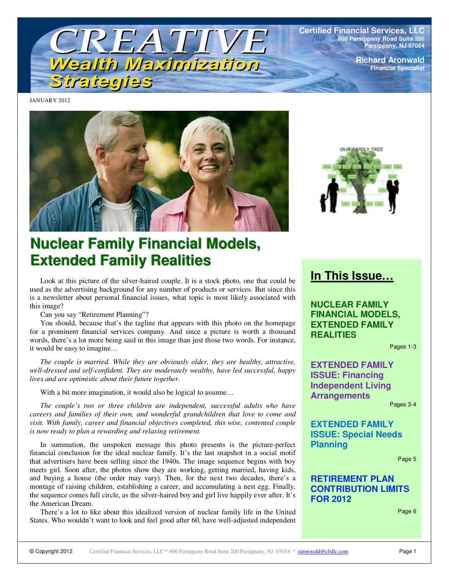

**Certified Financial Services, LLC 600 Parsippany Road Suite 200 Parsippany, NJ 07054**

> **Richard Aronwald Financial Specialist**

JANUARY 2012





# **Nuclear Family Financial Models, Extended Family Realities**

Look at this picture of the silver-haired couple. It is a stock photo, one that could be used as the advertising background for any number of products or services. But since this is a newsletter about personal financial issues, what topic is most likely associated with this image?

Can you say "Retirement Planning"?

You should, because that's the tagline that appears with this photo on the homepage for a prominent financial services company. And since a picture is worth a thousand words, there's a lot more being said in this image than just those two words. For instance, it would be easy to imagine…

*The couple is married. While they are obviously older, they are healthy, attractive, well-dressed and self-confident. They are moderately wealthy, have led successful, happy lives and are optimistic about their future together.* 

With a bit more imagination, it would also be logical to assume...

*The couple's two or three children are independent, successful adults who have careers and families of their own, and wonderful grandchildren that love to come and visit. With family, career and financial objectives completed, this wise, contented couple is now ready to plan a rewarding and relaxing retirement.* 

In summation, the unspoken message this photo presents is the picture-perfect financial conclusion for the ideal nuclear family. It's the last snapshot in a social motif that advertisers have been selling since the 1940s. The image sequence begins with boy meets girl. Soon after, the photos show they are working, getting married, having kids, and buying a house (the order may vary). Then, for the next two decades, there's a montage of raising children, establishing a career, and accumulating a nest egg. Finally, the sequence comes full circle, as the silver-haired boy and girl live happily ever after. It's the American Dream.

There's a lot to like about this idealized version of nuclear family life in the United States. Who wouldn't want to look and feel good after 60, have well-adjusted independent

## **In This Issue…**

**NUCLEAR FAMILY FINANCIAL MODELS, EXTENDED FAMILY REALITIES** 

Pages 1-3

**EXTENDED FAMILY ISSUE: Financing Independent Living Arrangements** 

Pages 3-4

**EXTENDED FAMILY ISSUE: Special Needs Planning** 

Page 5

**RETIREMENT PLAN CONTRIBUTION LIMITS FOR 2012** 

Page 6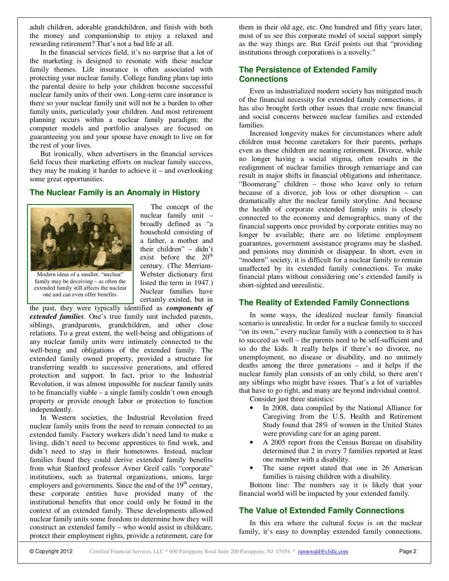adult children, adorable grandchildren, and finish with both the money and companionship to enjoy a relaxed and rewarding retirement? That's not a bad life at all.

In the financial services field, it's no surprise that a lot of the marketing is designed to resonate with these nuclear family themes. Life insurance is often associated with protecting your nuclear family. College funding plans tap into the parental desire to help your children become successful nuclear family units of their own. Long-term care insurance is there so your nuclear family unit will not be a burden to other family units, particularly your children. And most retirement planning occurs within a nuclear family paradigm; the computer models and portfolio analyses are focused on guaranteeing you and your spouse have enough to live on for the rest of your lives.

But ironically, when advertisers in the financial services field focus their marketing efforts on nuclear family success, they may be making it harder to achieve it – and overlooking some great opportunities.

### **The Nuclear Family is an Anomaly in History**



Modern ideas of a smaller, "nuclear" family may be deceiving – as often the extended family still affects the nuclear one and can even offer benefits.

The concept of the nuclear family unit – broadly defined as "a household consisting of a father, a mother and their children" – didn't exist before the  $20<sup>th</sup>$ century. (The Merriam-Webster dictionary first listed the term in 1947.) Nuclear families have certainly existed, but in

the past, they were typically identified as *components of extended families*. One's true family unit included parents, siblings, grandparents, grandchildren, and other close relations. To a great extent, the well-being and obligations of any nuclear family units were intimately connected to the well-being and obligations of the extended family. The extended family owned property, provided a structure for transferring wealth to successive generations, and offered protection and support. In fact, prior to the Industrial Revolution, it was almost impossible for nuclear family units to be financially viable – a single family couldn't own enough property or provide enough labor or protection to function independently.

In Western societies, the Industrial Revolution freed nuclear family units from the need to remain connected to an extended family. Factory workers didn't need land to make a living, didn't need to become apprentices to find work, and didn't need to stay in their hometowns. Instead, nuclear families found they could derive extended family benefits from what Stanford professor Avner Greif calls "corporate" institutions, such as fraternal organizations, unions, large employers and governments. Since the end of the  $19<sup>th</sup>$  century, these corporate entities have provided many of the institutional benefits that once could only be found in the context of an extended family. These developments allowed nuclear family units some freedom to determine how they will construct an extended family – who would assist in childcare, protect their employment rights, provide a retirement, care for

them in their old age, etc. One hundred and fifty years later, most of us see this corporate model of social support simply as the way things are. But Greif points out that "providing institutions through corporations is a novelty."

### **The Persistence of Extended Family Connections**

Even as industrialized modern society has mitigated much of the financial necessity for extended family connections, it has also brought forth other issues that create new financial and social concerns between nuclear families and extended families.

Increased longevity makes for circumstances where adult children must become caretakers for their parents, perhaps even as these children are nearing retirement. Divorce, while no longer having a social stigma, often results in the realignment of nuclear families through remarriage and can result in major shifts in financial obligations and inheritance. "Boomerang" children – those who leave only to return because of a divorce, job loss or other disruption – can dramatically alter the nuclear family storyline. And because the health of corporate extended family units is closely connected to the economy and demographics, many of the financial supports once provided by corporate entities may no longer be available; there are no lifetime employment guarantees, government assistance programs may be slashed, and pensions may diminish or disappear. In short, even in "modern" society, it is difficult for a nuclear family to remain unaffected by its extended family connections. To make financial plans without considering one's extended family is short-sighted and unrealistic.

#### **The Reality of Extended Family Connections**

In some ways, the idealized nuclear family financial scenario is unrealistic. In order for a nuclear family to succeed "on its own," every nuclear family with a connection to it has to succeed as well – the parents need to be self-sufficient and so do the kids. It really helps if there's no divorce, no unemployment, no disease or disability, and no untimely deaths among the three generations – and it helps if the nuclear family plan consists of an only child, so there aren't any siblings who might have issues. That's a lot of variables that have to go right, and many are beyond individual control.

Consider just three statistics:

- In 2008, data compiled by the National Alliance for Caregiving from the U.S. Health and Retirement Study found that 28% of women in the United States were providing care for an aging parent.
- A 2005 report from the Census Bureau on disability determined that 2 in every 7 families reported at least one member with a disability.
- The same report stated that one in 26 American families is raising children with a disability.

Bottom line: The numbers say it is likely that your financial world will be impacted by your extended family.

### **The Value of Extended Family Connections**

In this era where the cultural focus is on the nuclear family, it's easy to downplay extended family connections.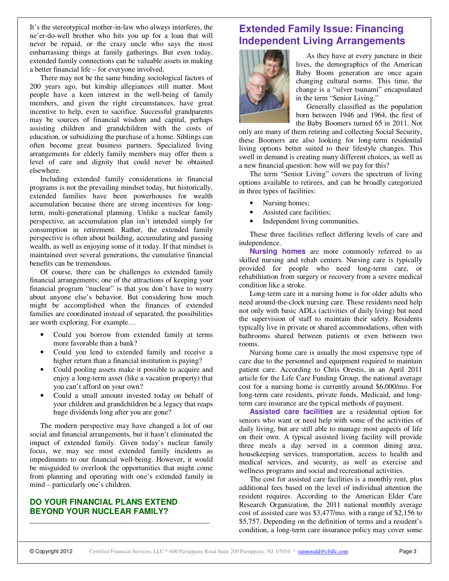It's the stereotypical mother-in-law who always interferes, the ne'er-do-well brother who hits you up for a loan that will never be repaid, or the crazy uncle who says the most embarrassing things at family gatherings. But even today, extended family connections can be valuable assets in making a better financial life – for everyone involved.

There may not be the same binding sociological factors of 200 years ago, but kinship allegiances still matter. Most people have a keen interest in the well-being of family members, and given the right circumstances, have great incentive to help, even to sacrifice. Successful grandparents may be sources of financial wisdom and capital, perhaps assisting children and grandchildren with the costs of education, or subsidizing the purchase of a home. Siblings can often become great business partners. Specialized living arrangements for elderly family members may offer them a level of care and dignity that could never be obtained elsewhere.

Including extended family considerations in financial programs is not the prevailing mindset today, but historically, extended families have been powerhouses for wealth accumulation because there are strong incentives for longterm, multi-generational planning. Unlike a nuclear family perspective, an accumulation plan isn't intended simply for consumption in retirement. Rather, the extended family perspective is often about building, accumulating and passing wealth, as well as enjoying some of it today. If that mindset is maintained over several generations, the cumulative financial benefits can be tremendous.

Of course, there can be challenges to extended family financial arrangements; one of the attractions of keeping your financial program "nuclear" is that you don't have to worry about anyone else's behavior. But considering how much might be accomplished when the finances of extended families are coordinated instead of separated, the possibilities are worth exploring. For example…

- Could you borrow from extended family at terms more favorable than a bank?
- Could you lend to extended family and receive a higher return than a financial institution is paying?
- Could pooling assets make it possible to acquire and enjoy a long-term asset (like a vacation property) that you can't afford on your own?
- Could a small amount invested today on behalf of your children and grandchildren be a legacy that reaps huge dividends long after you are gone?

The modern perspective may have changed a lot of our social and financial arrangements, but it hasn't eliminated the impact of extended family. Given today's nuclear family focus, we may see most extended family incidents as impediments to our financial well-being. However, it would be misguided to overlook the opportunities that might come from planning and operating with one's extended family in mind – particularly one's children.

\_\_\_\_\_\_\_\_\_\_\_\_\_\_\_\_\_\_\_\_\_\_\_\_\_\_\_\_\_\_\_\_\_\_\_\_\_\_\_\_\_\_\_\_\_\_\_\_\_

### **DO YOUR FINANCIAL PLANS EXTEND BEYOND YOUR NUCLEAR FAMILY?**

### **Extended Family Issue: Financing Independent Living Arrangements**



As they have at every juncture in their lives, the demographics of the American Baby Boom generation are once again changing cultural norms. This time, the change is a "silver tsunami" encapsulated in the term "Senior Living."

Generally classified as the population born between 1946 and 1964, the first of the Baby Boomers turned 65 in 2011. Not

only are many of them retiring and collecting Social Security, these Boomers are also looking for long-term residential living options better suited to their lifestyle changes. This swell in demand is creating many different choices, as well as a new financial question: how will we pay for this?

The term "Senior Living" covers the spectrum of living options available to retirees, and can be broadly categorized in three types of facilities:

- Nursing homes;
- Assisted care facilities;
- Independent living communities.

These three facilities reflect differing levels of care and independence.

**Nursing homes** are more commonly referred to as skilled nursing and rehab centers. Nursing care is typically provided for people who need long-term care, or rehabilitation from surgery or recovery from a severe medical condition like a stroke.

Long-term care in a nursing home is for older adults who need around-the-clock nursing care. These residents need help not only with basic ADLs (activities of daily living) but need the supervision of staff to maintain their safety. Residents typically live in private or shared accommodations, often with bathrooms shared between patients or even between two rooms.

Nursing home care is usually the most expensive type of care due to the personnel and equipment required to maintain patient care. According to Chris Orestis, in an April 2011 article for the Life Care Funding Group, the national average cost for a nursing home is currently around \$6,000/mo. For long-term care residents, private funds, Medicaid, and longterm care insurance are the typical methods of payment.

**Assisted care facilities** are a residential option for seniors who want or need help with some of the activities of daily living, but are still able to manage most aspects of life on their own. A typical assisted living facility will provide three meals a day served in a common dining area, housekeeping services, transportation, access to health and medical services, and security, as well as exercise and wellness programs and social and recreational activities.

The cost for assisted care facilities is a monthly rent, plus additional fees based on the level of individual attention the resident requires. According to the American Elder Care Research Organization, the 2011 national monthly average cost of assisted care was \$3,477/mo. with a range of \$2,156 to \$5,757. Depending on the definition of terms and a resident's condition, a long-term care insurance policy may cover some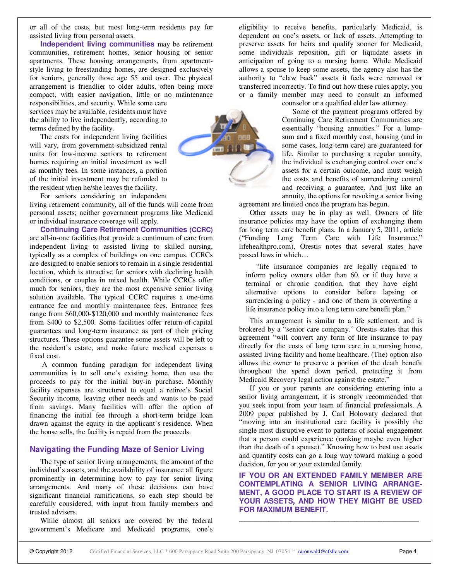or all of the costs, but most long-term residents pay for assisted living from personal assets.

**Independent living communities** may be retirement communities, retirement homes, senior housing or senior apartments. These housing arrangements, from apartmentstyle living to freestanding homes, are designed exclusively for seniors, generally those age 55 and over. The physical arrangement is friendlier to older adults, often being more compact, with easier navigation, little or no maintenance

responsibilities, and security. While some care services may be available, residents must have the ability to live independently, according to terms defined by the facility.

The costs for independent living facilities will vary, from government-subsidized rental units for low-income seniors to retirement homes requiring an initial investment as well as monthly fees. In some instances, a portion of the initial investment may be refunded to the resident when he/she leaves the facility.

For seniors considering an independent living retirement community, all of the funds will come from

personal assets; neither government programs like Medicaid or individual insurance coverage will apply.

**Continuing Care Retirement Communities (CCRC)** are all-in-one facilities that provide a continuum of care from independent living to assisted living to skilled nursing, typically as a complex of buildings on one campus. CCRCs are designed to enable seniors to remain in a single residential location, which is attractive for seniors with declining health conditions, or couples in mixed health. While CCRCs offer much for seniors, they are the most expensive senior living solution available. The typical CCRC requires a one-time entrance fee and monthly maintenance fees. Entrance fees range from \$60,000-\$120,000 and monthly maintenance fees from \$400 to \$2,500. Some facilities offer return-of-capital guarantees and long-term insurance as part of their pricing structures. These options guarantee some assets will be left to the resident's estate, and make future medical expenses a fixed cost.

 A common funding paradigm for independent living communities is to sell one's existing home, then use the proceeds to pay for the initial buy-in purchase. Monthly facility expenses are structured to equal a retiree's Social Security income, leaving other needs and wants to be paid from savings. Many facilities will offer the option of financing the initial fee through a short-term bridge loan drawn against the equity in the applicant's residence. When the house sells, the facility is repaid from the proceeds.

### **Navigating the Funding Maze of Senior Living**

The type of senior living arrangements, the amount of the individual's assets, and the availability of insurance all figure prominently in determining how to pay for senior living arrangements. And many of these decisions can have significant financial ramifications, so each step should be carefully considered, with input from family members and trusted advisers.

While almost all seniors are covered by the federal government's Medicare and Medicaid programs, one's eligibility to receive benefits, particularly Medicaid, is dependent on one's assets, or lack of assets. Attempting to preserve assets for heirs and qualify sooner for Medicaid, some individuals reposition, gift or liquidate assets in anticipation of going to a nursing home. While Medicaid allows a spouse to keep some assets, the agency also has the authority to "claw back" assets it feels were removed or transferred incorrectly. To find out how these rules apply, you or a family member may need to consult an informed



counselor or a qualified elder law attorney.

Some of the payment programs offered by Continuing Care Retirement Communities are essentially "housing annuities." For a lumpsum and a fixed monthly cost, housing (and in some cases, long-term care) are guaranteed for life. Similar to purchasing a regular annuity, the individual is exchanging control over one's assets for a certain outcome, and must weigh the costs and benefits of surrendering control and receiving a guarantee. And just like an annuity, the options for revoking a senior living

agreement are limited once the program has begun. Other assets may be in play as well. Owners of life

insurance policies may have the option of exchanging them for long term care benefit plans. In a January 5, 2011, article ("Funding Long Term Care with Life Insurance," lifehealthpro.com), Orestis notes that several states have passed laws in which…

"life insurance companies are legally required to inform policy owners older than 60, or if they have a terminal or chronic condition, that they have eight alternative options to consider before lapsing or surrendering a policy - and one of them is converting a life insurance policy into a long term care benefit plan."

This arrangement is similar to a life settlement, and is brokered by a "senior care company." Orestis states that this agreement "will convert any form of life insurance to pay directly for the costs of long term care in a nursing home, assisted living facility and home healthcare. (The) option also allows the owner to preserve a portion of the death benefit throughout the spend down period, protecting it from Medicaid Recovery legal action against the estate."

If you or your parents are considering entering into a senior living arrangement, it is strongly recommended that you seek input from your team of financial professionals. A 2009 paper published by J. Carl Holowaty declared that "moving into an institutional care facility is possibly the single most disruptive event to patterns of social engagement that a person could experience (ranking maybe even higher than the death of a spouse)." Knowing how to best use assets and quantify costs can go a long way toward making a good decision, for you or your extended family.

**IF YOU OR AN EXTENDED FAMILY MEMBER ARE CONTEMPLATING A SENIOR LIVING ARRANGE-MENT, A GOOD PLACE TO START IS A REVIEW OF YOUR ASSETS, AND HOW THEY MIGHT BE USED FOR MAXIMUM BENEFIT.** 

\_\_\_\_\_\_\_\_\_\_\_\_\_\_\_\_\_\_\_\_\_\_\_\_\_\_\_\_\_\_\_\_\_\_\_\_\_\_\_\_\_\_\_\_\_\_\_\_\_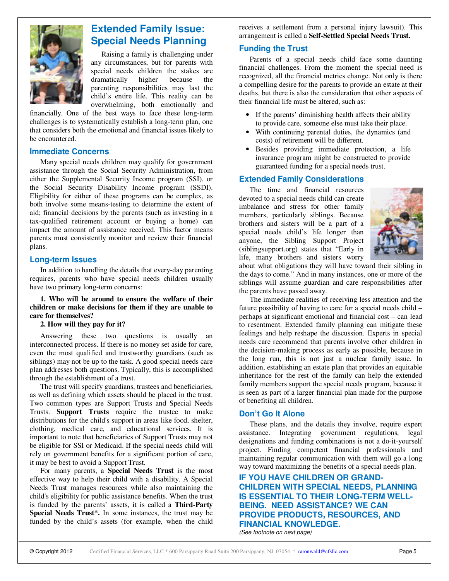

### **Extended Family Issue: Special Needs Planning**

Raising a family is challenging under any circumstances, but for parents with special needs children the stakes are dramatically higher because the parenting responsibilities may last the child's entire life. This reality can be overwhelming, both emotionally and

financially. One of the best ways to face these long-term challenges is to systematically establish a long-term plan, one that considers both the emotional and financial issues likely to be encountered.

#### **Immediate Concerns**

Many special needs children may qualify for government assistance through the Social Security Administration, from either the Supplemental Security Income program (SSI), or the Social Security Disability Income program (SSDI). Eligibility for either of these programs can be complex, as both involve some means-testing to determine the extent of aid; financial decisions by the parents (such as investing in a tax-qualified retirement account or buying a home) can impact the amount of assistance received. This factor means parents must consistently monitor and review their financial plans.

### **Long-term Issues**

In addition to handling the details that every-day parenting requires, parents who have special needs children usually have two primary long-term concerns:

**1. Who will be around to ensure the welfare of their children or make decisions for them if they are unable to care for themselves?** 

#### **2. How will they pay for it?**

Answering these two questions is usually an interconnected process. If there is no money set aside for care, even the most qualified and trustworthy guardians (such as siblings) may not be up to the task. A good special needs care plan addresses both questions. Typically, this is accomplished through the establishment of a trust.

The trust will specify guardians, trustees and beneficiaries, as well as defining which assets should be placed in the trust. Two common types are Support Trusts and Special Needs Trusts. **Support Trusts** require the trustee to make distributions for the child's support in areas like food, shelter, clothing, medical care, and educational services. It is important to note that beneficiaries of Support Trusts may not be eligible for SSI or Medicaid. If the special needs child will rely on government benefits for a significant portion of care, it may be best to avoid a Support Trust.

For many parents, a **Special Needs Trust** is the most effective way to help their child with a disability. A Special Needs Trust manages resources while also maintaining the child's eligibility for public assistance benefits. When the trust is funded by the parents' assets, it is called a **Third-Party Special Needs Trust\*.** In some instances, the trust may be funded by the child's assets (for example, when the child

receives a settlement from a personal injury lawsuit). This arrangement is called a **Self-Settled Special Needs Trust.**

### **Funding the Trust**

Parents of a special needs child face some daunting financial challenges. From the moment the special need is recognized, all the financial metrics change. Not only is there a compelling desire for the parents to provide an estate at their deaths, but there is also the consideration that other aspects of their financial life must be altered, such as:

- If the parents' diminishing health affects their ability to provide care, someone else must take their place.
- With continuing parental duties, the dynamics (and costs) of retirement will be different.
- Besides providing immediate protection, a life insurance program might be constructed to provide guaranteed funding for a special needs trust.

### **Extended Family Considerations**

The time and financial resources devoted to a special needs child can create imbalance and stress for other family members, particularly siblings. Because brothers and sisters will be a part of a special needs child's life longer than anyone, the Sibling Support Project (siblingsupport.org) states that "Early in life, many brothers and sisters worry



about what obligations they will have toward their sibling in the days to come." And in many instances, one or more of the siblings will assume guardian and care responsibilities after the parents have passed away.

The immediate realities of receiving less attention and the future possibility of having to care for a special needs child – perhaps at significant emotional and financial cost – can lead to resentment. Extended family planning can mitigate these feelings and help reshape the discussion. Experts in special needs care recommend that parents involve other children in the decision-making process as early as possible, because in the long run, this is not just a nuclear family issue. In addition, establishing an estate plan that provides an equitable inheritance for the rest of the family can help the extended family members support the special needs program, because it is seen as part of a larger financial plan made for the purpose of benefiting all children.

### **Don't Go It Alone**

These plans, and the details they involve, require expert assistance. Integrating government regulations, legal designations and funding combinations is not a do-it-yourself project. Finding competent financial professionals and maintaining regular communication with them will go a long way toward maximizing the benefits of a special needs plan.

**IF YOU HAVE CHILDREN OR GRAND-CHILDREN WITH SPECIAL NEEDS, PLANNING IS ESSENTIAL TO THEIR LONG-TERM WELL-BEING. NEED ASSISTANCE? WE CAN PROVIDE PRODUCTS, RESOURCES, AND FINANCIAL KNOWLEDGE.**  (See footnote on next page)